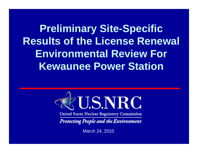**Preliminary Site-Specific Results of the License Renewal Environmental Review For Kewaunee Power Station** 



United States Nuclear Regulatory Commission

**Protecting People and the Environment** 

March 24, 2010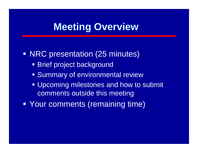### **Meeting Overview**

**• NRC presentation (25 minutes) Brief project background Summary of environmental review Upcoming milestones and how to submit** comments outside this meeting

Your comments (remaining time)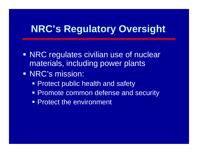## **NRC's Regulatory Oversight**

- **NRC regulates civilian use of nuclear** materials, including power plants
- **NRC's mission:** 
	- **Protect public health and safety**
	- **Promote common defense and security**
	- **Protect the environment**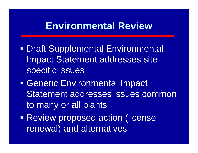### **Environmental Review**

- **• Draft Supplemental Environmental** Impact Statement addresses sitespecific issues
- Generic Environmental Impact Statement addresses issues common to many or all plants
- **Review proposed action (license** renewal) and alternatives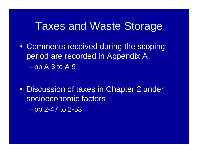### Taxes and Waste Storage

• Comments received during the scoping period are recorded in Appendix A  $\mathcal{L}_{\mathcal{A}}$ pp A-3 to A-9

• Discussion of taxes in Chapter 2 under socioeconomic factors–pp 2-47 to 2-53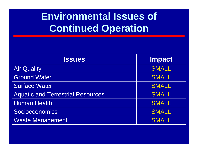# **Environmental Issues of Continued Operation**

| <b>Issues</b>                            | <b>Impact</b> |
|------------------------------------------|---------------|
| <b>Air Quality</b>                       | <b>SMALL</b>  |
| <b>Ground Water</b>                      | <b>SMALL</b>  |
| Surface Water                            | <b>SMALL</b>  |
| <b>Aquatic and Terrestrial Resources</b> | <b>SMALL</b>  |
| <b>Human Health</b>                      | <b>SMALL</b>  |
| Socioeconomics                           | <b>SMALL</b>  |
| <b>Waste Management</b>                  | <b>SMALL</b>  |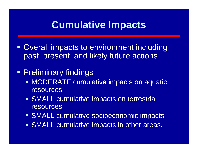#### **Cumulative Impacts**

- **Overall impacts to environment including** past, present, and likely future actions
- **Preliminary findings** 
	- **MODERATE cumulative impacts on aquatic** resources
	- **SMALL cumulative impacts on terrestrial** resources
	- SMALL cumulative socioeconomic impacts
	- **SMALL cumulative impacts in other areas.**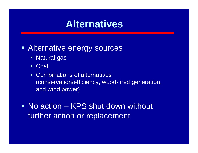#### **Alternatives**

#### **Example 20 Ferally Sources**

- Natural gas
- Coal
- **EXECOMPLE COMPLERIGHT COMPLEX COMPLEX** (conservation/efficiency, wood-fired generation, and wind power)

 No action – KPS shut down without further action or replacement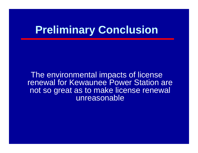# **Preliminary Conclusion**

The environmental impacts of license renewal for Kewaunee Power Station are not so great as to make license renewal unreasonable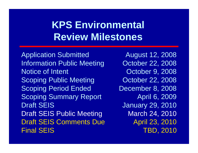# **KPS Environmental Review Milestones**

Application Submitted Information Public Meeting Notice of Intent Scoping Public Meeting Scoping Period Ended Scoping Summary Report Draft SEISDraft SEIS Public Meeting Draft SEIS Comments DueFinal SEIS

August 12, 2008 October 22, 2008 October 9, 2008 October 22, 2008 December 8, 2008 April 6, 2009 January 29, 2010 March 24, 2010 April 23, 2010 TBD, 2010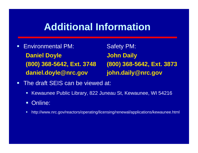#### **Additional Information**

 $\Box$ Environmental PM: Safety PM: **Daniel Doyle John Daily daniel.doyle@nrc.gov john.daily@nrc.gov**

**(800) 368-5642, Ext. 3748 (800) 368-5642, Ext. 3873**

- $\Box$  The draft SEIS can be viewed at:
	- $\blacksquare$ Kewaunee Public Library, 822 Juneau St, Kewaunee, WI 54216
	- Online:
	- ш http://www.nrc.gov/reactors/operating/licensing/renewal/applications/kewaunee.html